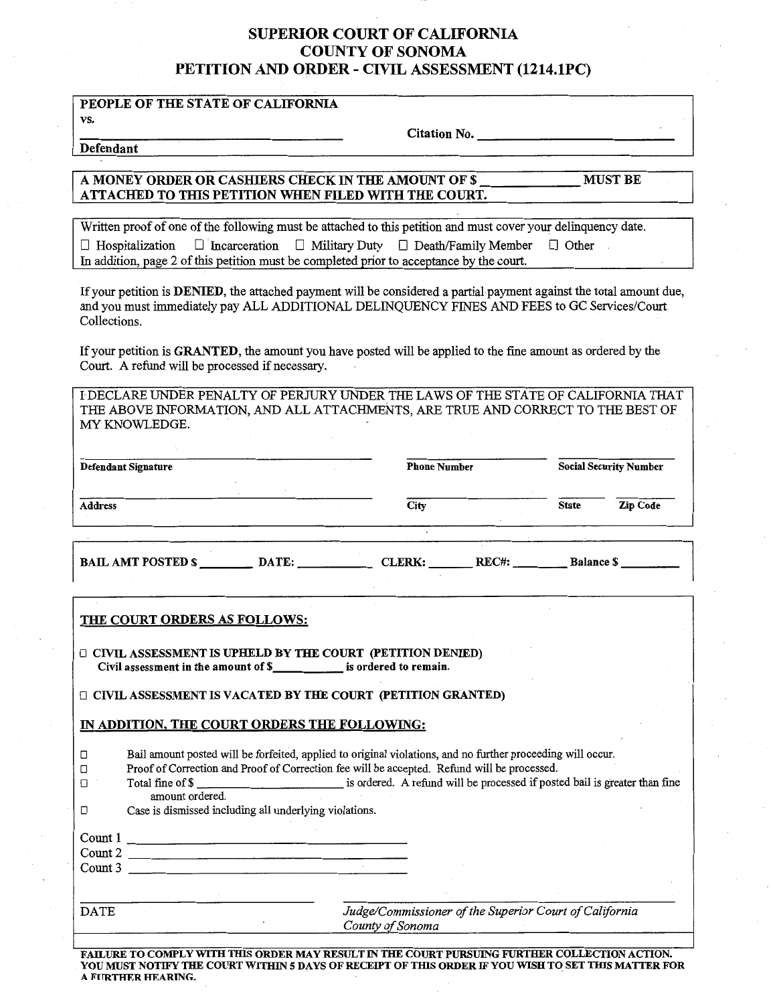## SUPERIOR COURT OF CALIFORNIA COUNTY OF SONOMA PETITION AND ORDER - CIVIL ASSESSMENT (1214.lPC)

### PEOPLE OF THE STATE OF CALIFORNIA

vs.

Citation No.-------------

Defendant

#### A MONEY ORDER OR CASHIERS CHECK IN THE AMOUNT OF\$ \_\_\_\_\_ MUST BE ATTACHED TO THIS PETITION WHEN FILED WITH THE COURT.

Written proof of one of the following must be attached to this petition and must cover your delinquency date.  $\Box$  Hospitalization  $\Box$  Incarceration  $\Box$  Military Duty  $\Box$  Death/Family Member  $\Box$  Other In addition, page 2 of this petition must be completed prior to acceptance by the court.

If your petition is DENIED, the attached payment will be considered a partial payment against the total amount due, and you must immediately pay ALL ADDITIONAL DELINQUENCY FINES AND FEES to GC Services/Court Collections.

If your petition is GRANTED, the amount you have posted will be applied to the fine amount as ordered by the Court. A refund will be processed if necessary.

l DECLARE UNDER PENALTY OF PERJURY UNDER THE LAWS OF THE STATE OF CALIFORNIA THAT THE ABOVE INFORMATION, AND ALL ATTACHMENTS, ARE TRUE AND CORRECT TO THE BEST OF MY KNOWLEDGE.

| <b>Defendant Signature</b> |       | <b>Phone Number</b> |       | <b>Social Security Number</b> |          |
|----------------------------|-------|---------------------|-------|-------------------------------|----------|
| <b>Address</b>             |       | City                |       | <b>State</b>                  | Zip Code |
|                            |       |                     |       |                               |          |
| <b>BAIL AMT POSTED \$</b>  | DATE: | <b>CLERK:</b>       | RECH: | <b>Balance S</b>              |          |

#### THE COURT ORDERS AS FOLLOWS:

O CIVIL ASSESSMENT IS UPHELD BY THE COURT (PETITION DENIED) Civil assessment in the amount of \$ is ordered to remain.

 $\Box$  CIVIL ASSESSMENT IS VACATED BY THE COURT (PETITION GRANTED)

#### IN ADDITION, THE COURT ORDERS THE FOLLOWING:

| ◻                             | Total fine of \$<br>amount ordered.<br>Case is dismissed including all underlying violations. | Bail amount posted will be forfeited, applied to original violations, and no further proceeding will occur.<br>Proof of Correction and Proof of Correction fee will be accepted. Refund will be processed.<br>is ordered. A refund will be processed if posted bail is greater than fine |
|-------------------------------|-----------------------------------------------------------------------------------------------|------------------------------------------------------------------------------------------------------------------------------------------------------------------------------------------------------------------------------------------------------------------------------------------|
| Count 1<br>Count 2<br>Count 3 |                                                                                               |                                                                                                                                                                                                                                                                                          |
| <b>DATE</b>                   |                                                                                               | Judge/Commissioner of the Superior Court of California<br>County of Sonoma                                                                                                                                                                                                               |

FAILURE TO COMPLY WITII TIIlS ORDER MAY RESULT IN TIIE COURT PURSUING FURTHER COLLECTION ACTION. YOU MUST NOTIFY THE COURT WITHIN 5 DAYS OF RECEIPT OF THIS ORDER IF YOU WISH TO SET THIS MATTER FOR A FURTHER HEARING.